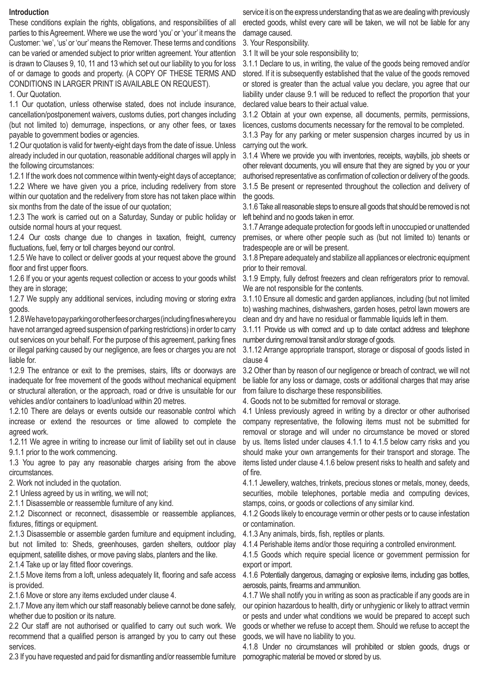## **Introduction**

These conditions explain the rights, obligations, and responsibilities of all parties to this Agreement. Where we use the word 'you' or 'your' it means the Customer: 'we', 'us' or 'our' means the Remover. These terms and conditions can be varied or amended subject to prior written agreement. Your attention is drawn to Clauses 9, 10, 11 and 13 which set out our liability to you for loss of or damage to goods and property. (A COPY OF THESE TERMS AND CONDITIONS IN LARGER PRINT IS AVAILABLE ON REQUEST).

1. Our Quotation.

1.1 Our quotation, unless otherwise stated, does not include insurance, cancellation/postponement waivers, customs duties, port changes including (but not limited to) demurrage, inspections, or any other fees, or taxes payable to government bodies or agencies.

1.2 Our quotation is valid for twenty-eight days from the date of issue. Unless already included in our quotation, reasonable additional charges will apply in the following circumstances:

1.2.1 If the work does not commence within twenty-eight days of acceptance; 1.2.2 Where we have given you a price, including redelivery from store within our quotation and the redelivery from store has not taken place within six months from the date of the issue of our quotation;

1.2.3 The work is carried out on a Saturday, Sunday or public holiday or outside normal hours at your request.

1.2.4 Our costs change due to changes in taxation, freight, currency fluctuations, fuel, ferry or toll charges beyond our control.

1.2.5 We have to collect or deliver goods at your request above the ground floor and first upper floors.

1.2.6 If you or your agents request collection or access to your goods whilst they are in storage;

1.2.7 We supply any additional services, including moving or storing extra goods.

1.2.8 We have to pay parking or other fees or charges (including fines where you have not arranged agreed suspension of parking restrictions) in order to carry out services on your behalf. For the purpose of this agreement, parking fines or illegal parking caused by our negligence, are fees or charges you are not liable for.

1.2.9 The entrance or exit to the premises, stairs, lifts or doorways are inadequate for free movement of the goods without mechanical equipment or structural alteration, or the approach, road or drive is unsuitable for our vehicles and/or containers to load/unload within 20 metres.

1.2.10 There are delays or events outside our reasonable control which increase or extend the resources or time allowed to complete the agreed work.

1.2.11 We agree in writing to increase our limit of liability set out in clause 9.1.1 prior to the work commencing.

1.3 You agree to pay any reasonable charges arising from the above circumstances.

2. Work not included in the quotation.

2.1 Unless agreed by us in writing, we will not;

2.1.1 Disassemble or reassemble furniture of any kind.

2.1.2 Disconnect or reconnect, disassemble or reassemble appliances, fixtures, fittings or equipment.

2.1.3 Disassemble or assemble garden furniture and equipment including, but not limited to: Sheds, greenhouses, garden shelters, outdoor play equipment, satellite dishes, or move paving slabs, planters and the like.

2.1.4 Take up or lay fitted floor coverings.

2.1.5 Move items from a loft, unless adequately lit, flooring and safe access is provided.

2.1.6 Move or store any items excluded under clause 4.

2.1.7 Move any item which our staff reasonably believe cannot be done safely, whether due to position or its nature.

2.2 Our staff are not authorised or qualified to carry out such work. We recommend that a qualified person is arranged by you to carry out these services.

2.3 If you have requested and paid for dismantling and/or reassemble furniture

service it is on the express understanding that as we are dealing with previously erected goods, whilst every care will be taken, we will not be liable for any damage caused.

3. Your Responsibility.

3.1 It will be your sole responsibility to;

3.1.1 Declare to us, in writing, the value of the goods being removed and/or stored. If it is subsequently established that the value of the goods removed or stored is greater than the actual value you declare, you agree that our liability under clause 9.1 will be reduced to reflect the proportion that your declared value bears to their actual value.

3.1.2 Obtain at your own expense, all documents, permits, permissions, licences, customs documents necessary for the removal to be completed.

3.1.3 Pay for any parking or meter suspension charges incurred by us in carrying out the work.

3.1.4 Where we provide you with inventories, receipts, waybills, job sheets or other relevant documents, you will ensure that they are signed by you or your authorised representative as confirmation of collection or delivery of the goods. 3.1.5 Be present or represented throughout the collection and delivery of the goods.

3.1.6 Take all reasonable steps to ensure all goods that should be removed is not left behind and no goods taken in error.

3.1.7 Arrange adequate protection for goods left in unoccupied or unattended premises, or where other people such as (but not limited to) tenants or tradespeople are or will be present.

3.1.8 Prepare adequately and stabilize all appliances or electronic equipment prior to their removal.

3.1.9 Empty, fully defrost freezers and clean refrigerators prior to removal. We are not responsible for the contents.

3.1.10 Ensure all domestic and garden appliances, including (but not limited to) washing machines, dishwashers, garden hoses, petrol lawn mowers are clean and dry and have no residual or flammable liquids left in them.

3.1.11 Provide us with correct and up to date contact address and telephone number during removal transit and/or storage of goods.

3.1.12 Arrange appropriate transport, storage or disposal of goods listed in clause 4

3.2 Other than by reason of our negligence or breach of contract, we will not be liable for any loss or damage, costs or additional charges that may arise from failure to discharge these responsibilities.

4. Goods not to be submitted for removal or storage.

4.1 Unless previously agreed in writing by a director or other authorised company representative, the following items must not be submitted for removal or storage and will under no circumstance be moved or stored by us. Items listed under clauses 4.1.1 to 4.1.5 below carry risks and you should make your own arrangements for their transport and storage. The items listed under clause 4.1.6 below present risks to health and safety and of fire.

4.1.1 Jewellery, watches, trinkets, precious stones or metals, money, deeds, securities, mobile telephones, portable media and computing devices, stamps, coins, or goods or collections of any similar kind.

4.1.2 Goods likely to encourage vermin or other pests or to cause infestation or contamination.

4.1.3 Any animals, birds, fish, reptiles or plants.

4.1.4 Perishable items and/or those requiring a controlled environment.

4.1.5 Goods which require special licence or government permission for export or import.

4.1.6 Potentially dangerous, damaging or explosive items, including gas bottles, aerosols, paints, firearms and ammunition.

4.1.7 We shall notify you in writing as soon as practicable if any goods are in our opinion hazardous to health, dirty or unhygienic or likely to attract vermin or pests and under what conditions we would be prepared to accept such goods or whether we refuse to accept them. Should we refuse to accept the goods, we will have no liability to you.

4.1.8 Under no circumstances will prohibited or stolen goods, drugs or pornographic material be moved or stored by us.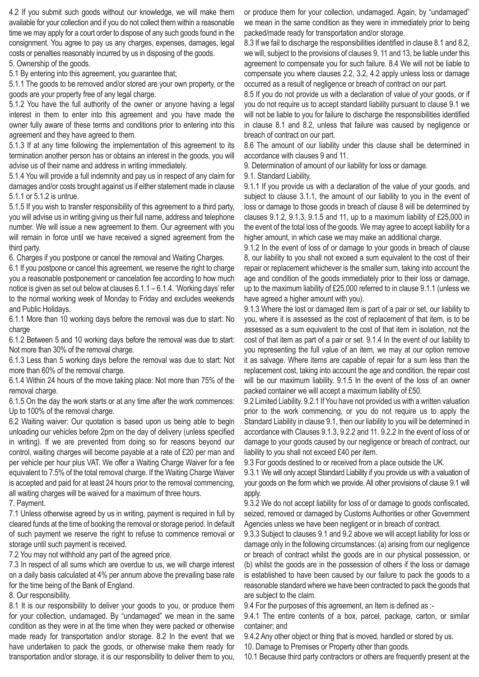4.2 If you submit such goods without our knowledge, we will make them available for your collection and if you do not collect them within a reasonable time we may apply for a court order to dispose of any such goods found in the consignment. You agree to pay us any charges, expenses, damages, legal costs or penalties reasonably incurred by us in disposing of the goods.

5. Ownership of the goods.

5.1 By entering into this agreement, you guarantee that;

5.1.1 The goods to be removed and/or stored are your own property, or the goods are your property free of any legal charge.

5.1.2 You have the full authority of the owner or anyone having a legal interest in them to enter into this agreement and you have made the owner fully aware of these terms and conditions prior to entering into this agreement and they have agreed to them.

5.1.3 If at any time following the implementation of this agreement to its termination another person has or obtains an interest in the goods, you will advise us of their name and address in writing immediately.

5.1.4 You will provide a full indemnity and pay us in respect of any claim for damages and/or costs brought against us if either statement made in clause 5.1.1 or 5.1.2 is untrue.

5.1.5 If you wish to transfer responsibility of this agreement to a third party, you will advise us in writing giving us their full name, address and telephone number. We will issue a new agreement to them. Our agreement with you will remain in force until we have received a signed agreement from the third party.

6. Charges if you postpone or cancel the removal and Waiting Charges.

6.1 If you postpone or cancel this agreement, we reserve the right to charge you a reasonable postponement or cancelation fee according to how much notice is given as set out below at clauses 6.1.1 – 6.1.4. 'Working days' refer to the normal working week of Monday to Friday and excludes weekends and Public Holidays.

6.1.1 More than 10 working days before the removal was due to start: No charge

6.1.2 Between 5 and 10 working days before the removal was due to start: Not more than 30% of the removal charge.

6.1.3 Less than 5 working days before the removal was due to start: Not more than 60% of the removal charge.

6.1.4 Within 24 hours of the move taking place: Not more than 75% of the removal charge.

6.1.5 On the day the work starts or at any time after the work commences: Up to 100% of the removal charge.

6.2 Waiting waiver: Our quotation is based upon us being able to begin unloading our vehicles before 2pm on the day of delivery (unless specified in writing). If we are prevented from doing so for reasons beyond our control, waiting charges will become payable at a rate of £20 per man and per vehicle per hour plus VAT. We offer a Waiting Charge Waiver for a fee equivalent to 7.5% of the total removal charge. If the Waiting Charge Waiver is accepted and paid for at least 24 hours prior to the removal commencing, all waiting charges will be waived for a maximum of three hours.

7. Payment.

7.1 Unless otherwise agreed by us in writing, payment is required in full by cleared funds at the time of booking the removal or storage period. In default of such payment we reserve the right to refuse to commence removal or storage until such payment is received.

7.2 You may not withhold any part of the agreed price.

7.3 In respect of all sums which are overdue to us, we will charge interest on a daily basis calculated at 4% per annum above the prevailing base rate for the time being of the Bank of England.

8. Our responsibility.

8.1 It is our responsibility to deliver your goods to you, or produce them for your collection, undamaged. By "undamaged" we mean in the same condition as they were in at the time when they were packed or otherwise made ready for transportation and/or storage. 8.2 In the event that we have undertaken to pack the goods, or otherwise make them ready for transportation and/or storage, it is our responsibility to deliver them to you,

or produce them for your collection, undamaged. Again, by "undamaged" we mean in the same condition as they were in immediately prior to being packed/made ready for transportation and/or storage.

8.3 If we fail to discharge the responsibilities identified in clause 8.1 and 8.2, we will, subject to the provisions of clauses 9, 11 and 13, be liable under this agreement to compensate you for such failure. 8.4 We will not be liable to compensate you where clauses 2.2, 3.2, 4.2 apply unless loss or damage occurred as a result of negligence or breach of contract on our part.

8.5 If you do not provide us with a declaration of value of your goods, or if you do not require us to accept standard liability pursuant to clause 9.1 we will not be liable to you for failure to discharge the responsibilities identified in clause 8.1 and 8.2, unless that failure was caused by negligence or breach of contract on our part.

8.6 The amount of our liability under this clause shall be determined in accordance with clauses 9 and 11.

9. Determination of amount of our liability for loss or damage.

9.1. Standard Liability.

9.1.1 If you provide us with a declaration of the value of your goods, and subject to clause 3.1.1, the amount of our liability to you in the event of loss or damage to those goods in breach of clause 8 will be determined by clauses 9.1.2, 9.1.3, 9.1.5 and 11, up to a maximum liability of £25,000 in the event of the total loss of the goods. We may agree to accept liability for a higher amount, in which case we may make an additional charge.

9.1.2 In the event of loss of or damage to your goods in breach of clause 8, our liability to you shall not exceed a sum equivalent to the cost of their repair or replacement whichever is the smaller sum, taking into account the age and condition of the goods immediately prior to their loss or damage, up to the maximum liability of £25,000 referred to in clause 9.1.1 (unless we have agreed a higher amount with you).

9.1.3 Where the lost or damaged item is part of a pair or set, our liability to you, where it is assessed as the cost of replacement of that item, is to be assessed as a sum equivalent to the cost of that item in isolation, not the cost of that item as part of a pair or set. 9.1.4 In the event of our liability to you representing the full value of an item, we may at our option remove it as salvage. Where items are capable of repair for a sum less than the replacement cost, taking into account the age and condition, the repair cost will be our maximum liability. 9.1.5 In the event of the loss of an owner packed container we will accept a maximum liability of £50.

9.2 Limited Liability. 9.2.1 If You have not provided us with a written valuation prior to the work commencing, or you do not require us to apply the Standard Liability in clause 9.1, then our liability to you will be determined in accordance with Clauses 9.1.3, 9.2.2 and 11. 9.2.2 In the event of loss of or damage to your goods caused by our negligence or breach of contract, our liability to you shall not exceed £40 per item.

9.3 For goods destined to or received from a place outside the UK.

9.3.1 We will only accept Standard Liability if you provide us with a valuation of your goods on the form which we provide. All other provisions of clause 9.1 will apply.

9.3.2 We do not accept liability for loss of or damage to goods confiscated, seized, removed or damaged by Customs Authorities or other Government Agencies unless we have been negligent or in breach of contract.

9.3.3 Subject to clauses 9.1 and 9.2 above we will accept liability for loss or damage only in the following circumstances: (a) arising from our negligence or breach of contract whilst the goods are in our physical possession, or (b) whilst the goods are in the possession of others if the loss or damage is established to have been caused by our failure to pack the goods to a reasonable standard where we have been contracted to pack the goods that are subject to the claim.

9.4 For the purposes of this agreement, an Item is defined as :-

9.4.1 The entire contents of a box, parcel, package, carton, or similar container; and

9.4.2 Any other object or thing that is moved, handled or stored by us.

10. Damage to Premises or Property other than goods.

10.1 Because third party contractors or others are frequently present at the